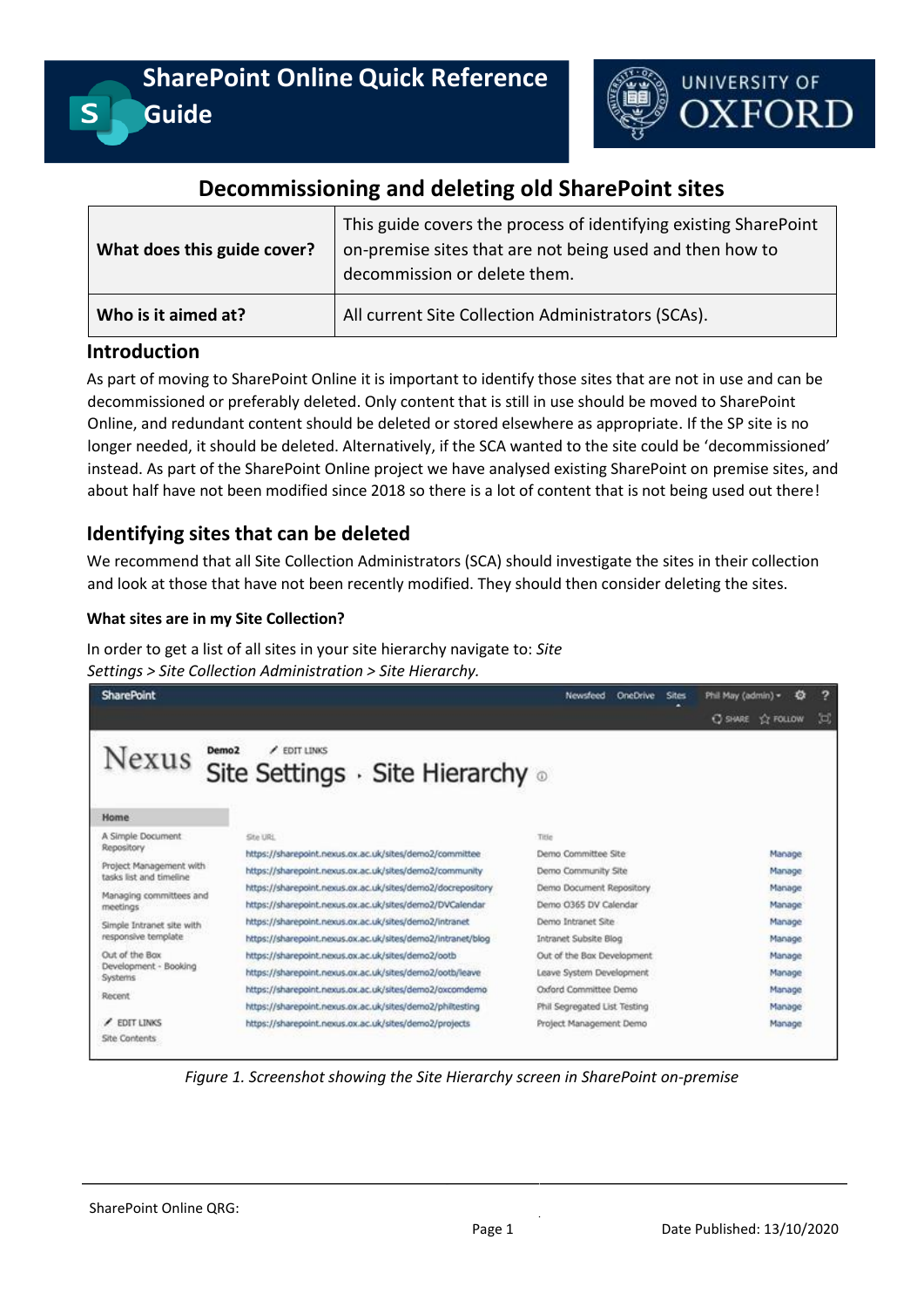

# **Decommissioning and deleting old SharePoint sites**

| What does this guide cover? | This guide covers the process of identifying existing SharePoint<br>on-premise sites that are not being used and then how to<br>decommission or delete them. |  |
|-----------------------------|--------------------------------------------------------------------------------------------------------------------------------------------------------------|--|
| Who is it aimed at?         | All current Site Collection Administrators (SCAs).                                                                                                           |  |

# **Introduction**

As part of moving to SharePoint Online it is important to identify those sites that are not in use and can be decommissioned or preferably deleted. Only content that is still in use should be moved to SharePoint Online, and redundant content should be deleted or stored elsewhere as appropriate. If the SP site is no longer needed, it should be deleted. Alternatively, if the SCA wanted to the site could be 'decommissioned' instead. As part of the SharePoint Online project we have analysed existing SharePoint on premise sites, and about half have not been modified since 2018 so there is a lot of content that is not being used out there!

# **Identifying sites that can be deleted**

We recommend that all Site Collection Administrators (SCA) should investigate the sites in their collection and look at those that have not been recently modified. They should then consider deleting the sites.

### **What sites are in my Site Collection?**

In order to get a list of all sites in your site hierarchy navigate to: *Site Settings > Site Collection Administration > Site Hierarchy.*

| <b>SharePoint</b>                                  |                                                             | Newsfeed<br><b>OneDrive</b><br><b>Sites</b> | ?<br>Phil May (admin) =<br>o             |
|----------------------------------------------------|-------------------------------------------------------------|---------------------------------------------|------------------------------------------|
|                                                    |                                                             |                                             | 过<br><b>T'T FOLLOW</b><br><b>C SHARE</b> |
| Demo <sub>2</sub><br>Nexus                         | <b>FDIT LINKS</b><br>Site Settings · Site Hierarchy .       |                                             |                                          |
| Home                                               |                                                             |                                             |                                          |
| A Simple Document                                  | Site URL                                                    | Title                                       |                                          |
| Repository                                         | https://sharepoint.nexus.ox.ac.uk/sites/demo2/committee     | Demo Committee Site                         | Manage                                   |
| Project Management with<br>tasks list and timeline | https://sharepoint.nexus.ox.ac.uk/sites/demo2/community     | Demo Community Site                         | Manage                                   |
|                                                    | https://sharepoint.nexus.ox.ac.uk/sites/demo2/docrepository | Demo Document Repository                    | Manage                                   |
| Managing committees and<br>meetings                | https://sharepoint.nexus.ox.ac.uk/sites/demo2/DVCalendar    | Demo 0365 DV Calendar                       | Manage                                   |
| Simple Intranet site with                          | https://sharepoint.nexus.ox.ac.uk/sites/demo2/intranet      | Demo Intranet Site                          | Manage                                   |
| responsive template                                | https://sharepoint.nexus.ox.ac.uk/sites/demo2/intranet/blog | Intranet Subsite Blog                       | Manage                                   |
| Out of the Box<br>Development - Booking<br>Systems | https://sharepoint.nexus.ox.ac.uk/sites/demo2/ootb          | Out of the Bax Development                  | Manage                                   |
|                                                    | https://sharepoint.nexus.ox.ac.uk/sites/demo2/ootb/leave    | Leave System Development                    | Manage                                   |
| Recent                                             | https://sharepoint.nexus.ox.ac.uk/sites/demo2/oxcomdemo     | Oxford Committee Demo                       | Manage                                   |
|                                                    | https://sharepoint.nexus.ox.ac.uk/sites/demo2/philtesting   | Phil Segregated List Testing                | Manage                                   |
| <b>EDIT LINKS</b>                                  | https://sharepoint.nexus.ox.ac.uk/sites/demo2/projects      | Project Management Demo                     | Manage                                   |
| Site Contents                                      |                                                             |                                             |                                          |

*Figure 1. Screenshot showing the Site Hierarchy screen in SharePoint on-premise*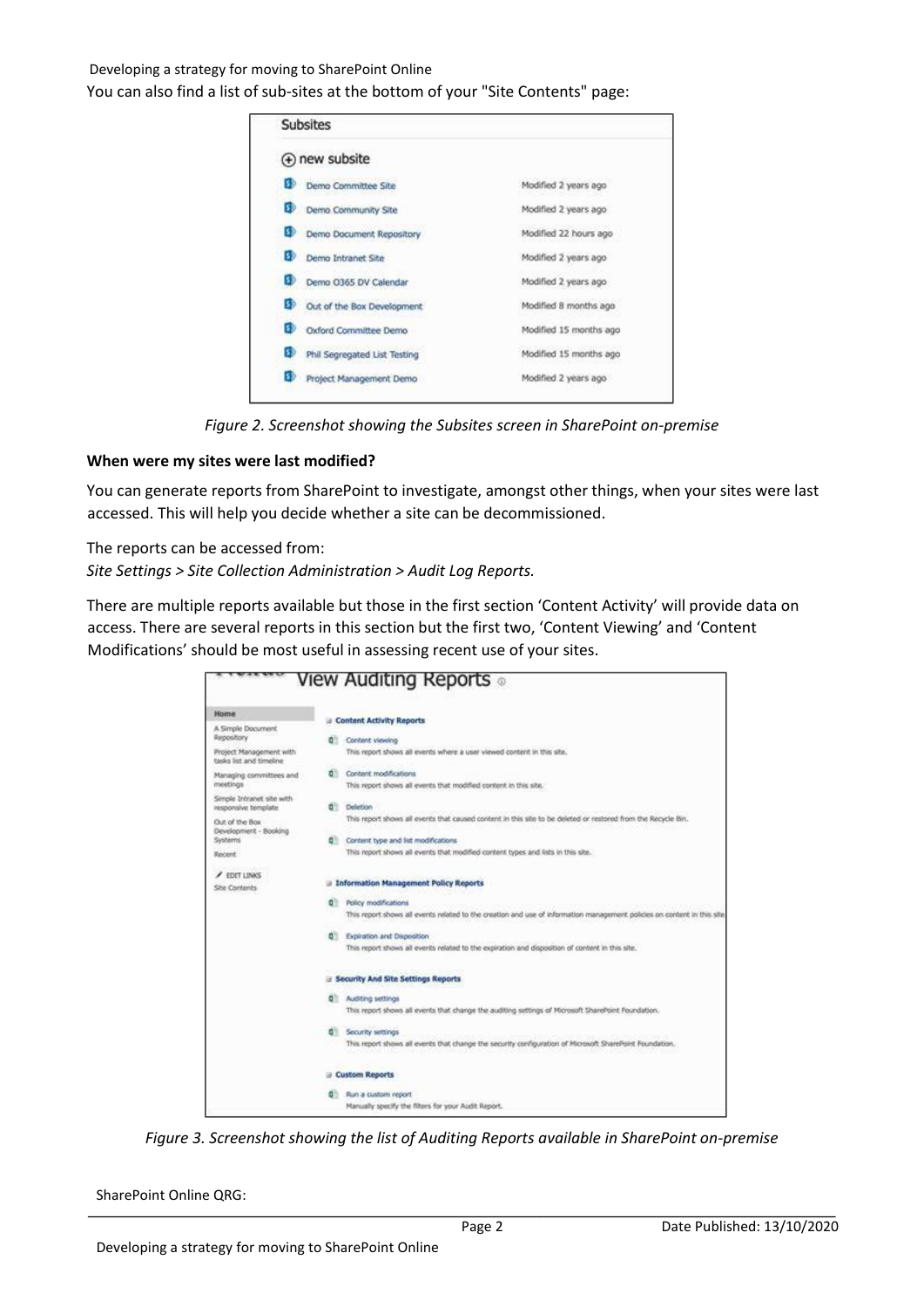## Developing a strategy for moving to SharePoint Online You can also find a list of sub-sites at the bottom of your "Site Contents" page:

| <b>Subsites</b>                      |                        |  |  |
|--------------------------------------|------------------------|--|--|
| (+) new subsite                      |                        |  |  |
| Demo Committee Site<br>33            | Modified 2 years ago   |  |  |
| Demo Community Site                  | Modified 2 years ago   |  |  |
| 33<br>Demo Document Repository       | Modified 22 hours ago  |  |  |
| 30.<br>Demo Intranet Site            | Modified 2 years ago   |  |  |
| S3<br>Demo O365 DV Calendar          | Modified 2 years ago   |  |  |
| 39<br>Out of the Box Development     | Modified 8 months ago  |  |  |
| 39<br>Oxford Committee Demo          | Modified 15 months ago |  |  |
| SÞ<br>Phil Segregated List Testing   | Modified 15 months ago |  |  |
| <b>SD</b><br>Project Management Demo | Modified 2 years ago   |  |  |

*Figure 2. Screenshot showing the Subsites screen in SharePoint on-premise* 

#### **When were my sites were last modified?**

You can generate reports from SharePoint to investigate, amongst other things, when your sites were last accessed. This will help you decide whether a site can be decommissioned.

The reports can be accessed from:

*Site Settings > Site Collection Administration > Audit Log Reports.*

There are multiple reports available but those in the first section 'Content Activity' will provide data on access. There are several reports in this section but the first two, 'Content Viewing' and 'Content Modifications' should be most useful in assessing recent use of your sites.

|                                                    | View Auditing Reports 。                                                                                                      |
|----------------------------------------------------|------------------------------------------------------------------------------------------------------------------------------|
| Home                                               |                                                                                                                              |
| A Simple Document<br>Repository                    | <b>B</b> Content Activity Reports<br>Content viewing<br>n                                                                    |
| Project Management with<br>tasks list and timeline | This report shows all events where a user viewed content in this site.                                                       |
| Managing committees and<br>meetings                | Content modifications<br>٥<br>This report shows all events that modified content in this site.                               |
| Simple Intranet site with<br>responsive template   | Deletion<br>٥                                                                                                                |
| Out of the Box<br>Development - Booking            | This report shows all events that caused content in this site to be deleted or restored from the Recycle Bin.                |
| Systems<br>Recent                                  | Content type and list modifications<br>۰<br>This report shows all events that modified content types and lists in this site. |
| <b>/ EDIT LINKS</b>                                |                                                                                                                              |
| Site Contents                                      | <b>Information Management Policy Reports</b>                                                                                 |
|                                                    | Policy modifications<br>۰                                                                                                    |
|                                                    | This report shows all events related to the creation and use of information management policies on content in this site      |
|                                                    | ۵l<br>Expiration and Disposition                                                                                             |
|                                                    | This report shows all events related to the expiration and disposition of content in this site.                              |
|                                                    | Security And Site Settings Reports                                                                                           |
|                                                    | Auditing settings<br>۰                                                                                                       |
|                                                    | This report shows all events that change the auditing settings of Microsoft SharePoint Foundation.                           |
|                                                    | Security settings<br>ø۱                                                                                                      |
|                                                    | This report shows all events that change the security configuration of Microsoft SharePoint Foundation.                      |
|                                                    | <b>Custom Reports</b>                                                                                                        |
|                                                    | Run a custom report.                                                                                                         |
|                                                    | Manually specify the filters for your Audit Report.                                                                          |

*Figure 3. Screenshot showing the list of Auditing Reports available in SharePoint on-premise* 

SharePoint Online QRG: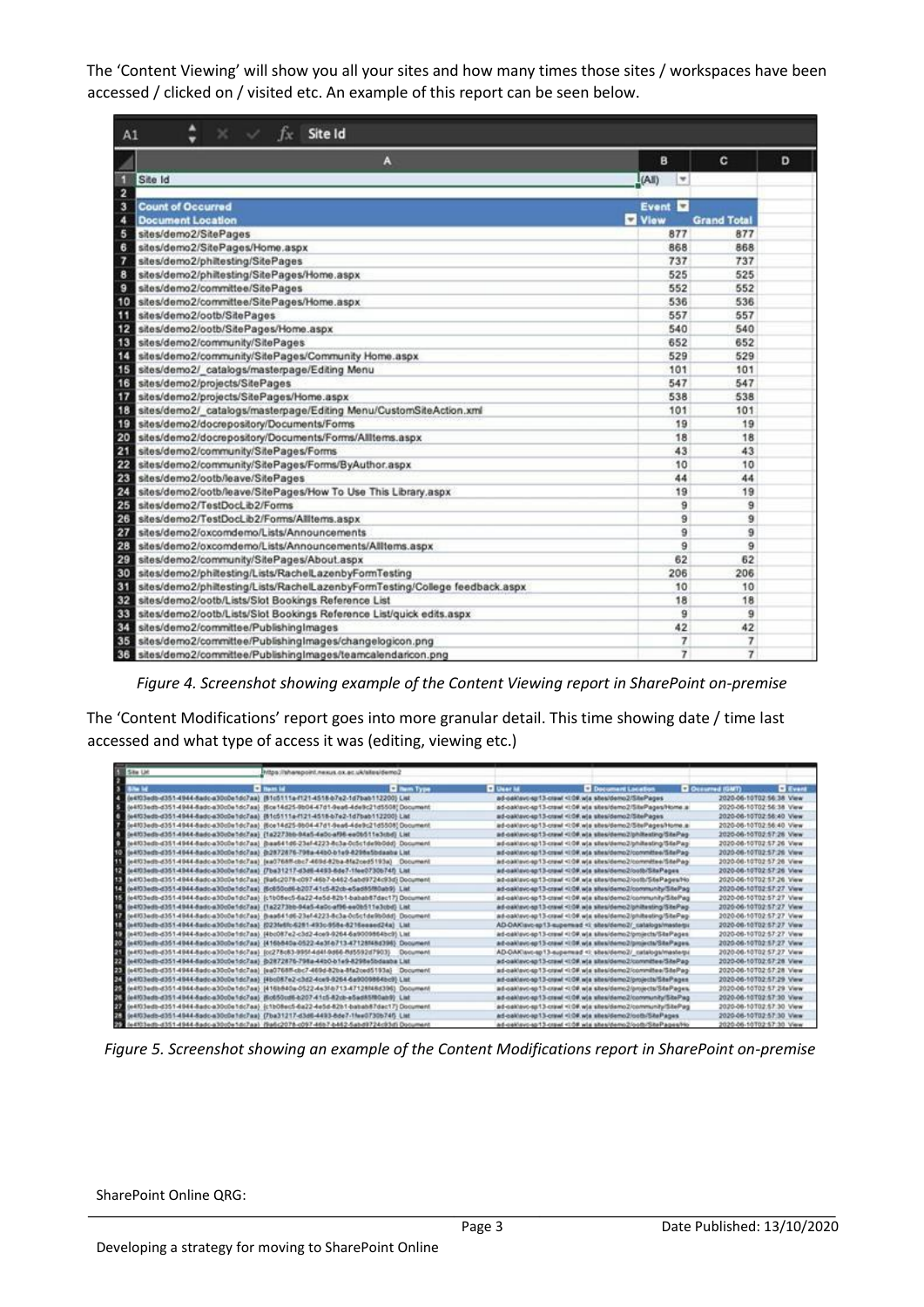The 'Content Viewing' will show you all your sites and how many times those sites / workspaces have been accessed / clicked on / visited etc. An example of this report can be seen below.

| A1             | <b>Example 15</b> Site Id                                                   |                |                    |   |  |
|----------------|-----------------------------------------------------------------------------|----------------|--------------------|---|--|
|                | A                                                                           | в              | c                  | D |  |
| Ð              | Site Id                                                                     | (All)<br>۰     |                    |   |  |
| $\overline{2}$ |                                                                             |                |                    |   |  |
| 3              | <b>Count of Occurred</b>                                                    | Event <b>D</b> |                    |   |  |
| 4              | <b>Document Location</b>                                                    | Vlow           | <b>Grand Total</b> |   |  |
| 5              | sites/demo2/SitePages                                                       | 877            | 877                |   |  |
| 6              | sites/demo2/SitePages/Home.aspx                                             | 868            | 868                |   |  |
| 7              | sites/demo2/philtesting/SitePages                                           | 737            | 737                |   |  |
| 8              | sites/demo2/philtesting/SitePages/Home.aspx                                 | 525            | 525                |   |  |
| 9              | sites/demo2/committee/SitePages                                             | 552            | 552                |   |  |
| 10             | sites/demo2/committee/SitePages/Home.aspx                                   | 536            | 536                |   |  |
| п              | sites/demo2/ootb/SitePages                                                  | 557            | 557                |   |  |
| 12             | sites/demo2/ootb/SitePages/Home.aspx                                        | 540            | 540                |   |  |
| 13             | sites/demo2/community/SitePages                                             | 652            | 652                |   |  |
| 14             | sites/demo2/community/SitePages/Community Home.aspx                         | 529            | 529                |   |  |
| 15             | sites/demo2/_catalogs/masterpage/Editing Menu                               | 101            | 101                |   |  |
| 16             | sites/demo2/projects/SitePages                                              | 547            | 547                |   |  |
| 17             | sites/demo2/projects/SitePages/Home.aspx                                    | 538            | 538                |   |  |
| 18             | sites/demo2/_catalogs/masterpage/Editing Menu/CustomSiteAction.xml          | 101            | 101                |   |  |
| 19             | sites/demo2/docrepository/Documents/Forms                                   | 19             | 19                 |   |  |
| 20             | sites/demo2/docrepository/Documents/Forms/Alltems.aspx                      | 18             | 18                 |   |  |
| 21             | sites/demo2/community/SitePages/Forms                                       | 43             | 43                 |   |  |
| 22             | sites/demo2/community/SitePages/Forms/ByAuthor.aspx                         | 10             | 10                 |   |  |
| 23             | sites/demo2/ootb/leave/SitePages                                            | 44             | 44                 |   |  |
| 24             | sites/demo2/ootb/leave/SitePages/How To Use This Library.aspx               | 19             | 19                 |   |  |
| 25             | sites/demo2/TestDocLib2/Forms                                               | 9              | 9                  |   |  |
| 26             | sites/demo2/TestDocLib2/Forms/Allitems.aspx                                 | 9              | 9                  |   |  |
| 27             | sites/demo2/oxcomdemo/Lists/Announcements                                   | 9              | 9                  |   |  |
| 28             | sites/demo2/oxcomdemo/Lists/Announcements/Alltems.aspx                      | 9              | 9                  |   |  |
| 29             | sites/demo2/community/SitePages/About.aspx                                  | 62             | 62                 |   |  |
| 30             | sites/demo2/philtesting/Lists/RachelLazenbyFormTesting                      | 206            | 206                |   |  |
| 31             | sites/demo2/phitesting/Lists/RachelLazenbyFormTesting/College feedback.aspx | 10             | 10                 |   |  |
| 32             | sites/demo2/ootb/Lists/Slot Bookings Reference List                         | 18             | 18                 |   |  |
| 33             | sites/demo2/ootb/Lists/Slot Bookings Reference List/quick edits.aspx        | g              | 9                  |   |  |
| 34             | sites/demo2/committee/PublishingImages                                      | 42             | 42                 |   |  |
| 35             | sites/demo2/committee/PublishingImages/changelogicon.png                    | 7              | 7                  |   |  |
| 36             | sites/demo2/committee/PublishingImages/teamcalendaricon.png                 | 7              | $\overline{7}$     |   |  |

*Figure 4. Screenshot showing example of the Content Viewing report in SharePoint on-premise* 

The 'Content Modifications' report goes into more granular detail. This time showing date / time last accessed and what type of access it was (editing, viewing etc.)

| <b>Side List</b> | https://sharepoint.nexus.ox.ac.uk/alles/demo2                                              |                    |                        |                                                                                                                                               |                                        |  |
|------------------|--------------------------------------------------------------------------------------------|--------------------|------------------------|-----------------------------------------------------------------------------------------------------------------------------------------------|----------------------------------------|--|
| в                | <b>Di Hans Isl</b>                                                                         | <b>C Bent Type</b> | <b>Call Union Sale</b> | <b>D</b> Document Location                                                                                                                    | <b>Q</b> Occurred (GMT) <b>Q</b> Event |  |
|                  | (e4103edb-d351-4944-5adc-a30c0e1dc7aa) (81c5111a-f121-4516-b7e2-1d7bab112200) List         |                    |                        | ad-calcum sp13-crawl <109.w/a sites/demo2/SitePages                                                                                           | 2020-06-10T02-56:38 View               |  |
| ø.               | (e4103edb-d351-4944-5adc-a30c0e1dc7aa) (5ce14d25-9b04-47d1-9ea6-4de9c21d5508) Document     |                    |                        | ad-calculo-sp13-crawl <t-0#.wja demo2="" home.a<="" sitepages="" sites="" td=""><td>2020-06-10T02-56:38 View</td><td></td></t-0#.wja>         | 2020-06-10T02-56:38 View               |  |
|                  | (e4103edb-d351-4944-8adc-a30cDe1dc7aa) {81c5111a-f121-4518-b7e2-1d7bab112200} Llat         |                    |                        | ad-oaklayc-sp13-crawl <i:0#.wia demo2="" sitepages<="" sites="" td=""><td>2020-06-10T02-56:40 View</td><td></td></i:0#.wia>                   | 2020-06-10T02-56:40 View               |  |
| ×                | (e4103edb-d351-4944-8adc-a30cDe1-bc7aa) (Bce14d25-9b04-47d1-9ead-4de9c21d5508) Document    |                    |                        | ad-oaklayc-sp13-crawl <t0#.wjs demo2="" home.a<="" sitepages="" sites="" td=""><td>2020-06-10T02-56:40 View</td><td></td></t0#.wjs>           | 2020-06-10T02-56:40 View               |  |
| ٠                | (e4f03edbd3514944-8adc-a30c0e1dc7aa) {1a2273bb-94a5-4a0c-af96-ee06511e3cbd) List           |                    |                        | ad-calcavo-sp13-crawl <008.wia sites/demo2/philtesting/SitePag                                                                                | 2020-06-10T02:57:26 View               |  |
| o                | (e4f03edb-d351-4944-5adc-a30cDe1dc7aa) @aa641d6-23ef-4223-5c3a-0c5c1de9b0dd) Document      |                    |                        | ad-calculo sp13-crawl <108 w/a stes/demo2/philisating/SitePag-                                                                                | 2020-06-10T02:57:26 Vww                |  |
| 10               | (e4103edb-d351-4044-5adc-a30c0e1dc7aa) @2872876-798a-44b0-b1e9-8295s5bdaaba List           |                    |                        | ad-galdavo-sp13-crawl <td#.wja committee="" demo2="" sitepag-<="" sites="" td=""><td>2020-06-10T02-57:26 View</td><td></td></td#.wja>         | 2020-06-10T02-57:26 View               |  |
|                  | (e4f03edb-d351-4944-5adc-a30cDe1dc7aa) (ea0768ff-cbc7-469d-82ba-8fa2ced5193a) Document     |                    |                        | ad-oaklavis-ag13-crawl- <l0#.w(a aites="" committee="" demo2="" sitepag-<="" td=""><td>2020-06-10T02-57-26 View</td><td></td></l0#.w(a>       | 2020-06-10T02-57-26 View               |  |
|                  | 22 (e4103edb-d351-4944-5adc-a30c0e1dc7as) (7ba31217-d3d6-4493-5de7-1fee0730674f) Ltd       |                    |                        | ad-calcavo-sp13-crawl <10#.wis sites/demo2/ootb/SitePages                                                                                     | 2020-06-10T02-57-26 View               |  |
|                  | (e4103edb-d351-4944-5adc-a30c0e1dc7aa) : (9a6c2078-c097-46b7-b462-5abd9724c93d) Document   |                    |                        | ad-calcavo-sp13-crawl <l08.w a="" demo2="" ho<="" ootb="" sitepages="" stes="" td=""><td>2020-06-10T02-57-26 View</td><td></td></l08.w>       | 2020-06-10T02-57-26 View               |  |
|                  | { (e4f03edb-d351-4944-5adc-a30cDe1dc7as) (5c050cd6-b207-41c5-82cb-e5ad85f80ab9) Lat        |                    |                        | ad-gakleyc-sp13-crawl <t community="" d#.wia="" demo2="" sitepag<="" sites="" td=""><td>2020-06-10T02-57-27 Vww</td><td></td></t>             | 2020-06-10T02-57-27 Vww                |  |
|                  | (e4f03edb-d351-4944-8adc-a30cDe1dc7as) (c1b08ec5-6a22-4e5d-82b1-babab87dec17) Document     |                    |                        | ad-califavo-sp13-crawl <t0#,wja community="" demo2="" sitepag<="" sites="" td=""><td>2020-06-10T02-57-27 View</td><td></td></t0#,wja>         | 2020-06-10T02-57-27 View               |  |
|                  | E (e4103edb-d351-4944-8adc-a30c0e1dc7aa) (1a2273bb-94a5-4a0c-af96-ee0b511e3cbd) List       |                    |                        | ad-oakleyc-sp13-crawl <t0#.wia demo2="" philtesting="" sitepag<="" sites="" td=""><td>2020-06-10T02-57-27 View</td><td></td></t0#.wia>        | 2020-06-10T02-57-27 View               |  |
|                  | (e4103edb-d351-4944-8adc-a30c0a1dc7aa) @aa641d6-23af-4223-8c3a-0c5c1de9h0dd) Document      |                    |                        | ad-oaktevo-ap13-crawl-tidd, wix sites/demo2/phitesting/SitePag-                                                                               | 2020-06-10T02-57-27 View               |  |
|                  | E. 04803edb-d351-4044-5adc-a30c0e1dc7aa) (0239e5lc-6251-493c-958e-8216essed24a) Ltd        |                    |                        | AD-OAK avc-sp13-supersied shealdered/ catalogalmesters</td <td>2020-06-10T02:57:27 Vww</td> <td></td>                                         | 2020-06-10T02:57:27 Vww                |  |
|                  | (e4103edb-d351-4944-5adc-a30c0e1dc7aa) (4bc087e2-c3d2-4ce9-9264-6a9009864bc9) List         |                    |                        | ad-califavo-sp13-crawl <10#.wja.sites/demo2/projects/SitePages                                                                                | 2020-06-10T02-57-27 Vww                |  |
|                  | 02 (e4103eds-d351-4944-5adc-a30c0s1dc7aa) (416b840a-0522-4e3f-b713-47125N6d396) Document   |                    |                        | ad-calibroid 13-crawl <10#.w/a sites/demo2/projects/SitePages.                                                                                | 2020-06-10T02 57:27 View               |  |
|                  | (e4103ed)=d351-4944-5adc-a30c0e1dc7aa) (cc278c83-995f-4d4f-9d66-8d5592d7903) Document      |                    |                        | AD-OAK ave ap 13-superesal  sites/demo2/_catalogs/masterpi                                                                                    | 2020-06-10T02:57:27 View               |  |
|                  | 23 (e4f03edb-d351-4944-5adc-a30c0e1dc7aa) @2872876-798a-44b0-b1e9-8298e5bdaaba List        |                    |                        | ad-galčavo-sp13-crawl <t 38.wts="" committee="" demo2="" sitepag-<="" sites="" td=""><td>2020-06-10T02:57:28 View</td><td></td></t>           | 2020-06-10T02:57:28 View               |  |
| 23               | (e4f03edb-d351-4944-8adc-a30c0e1dc7aa) {sa0768fl-cbc7-469d-82ba-8fa2ced5193a} Document     |                    |                        | ad-calclavic-sp13-crawl <t:0# committee="" demo2="" sitepag-<="" sites="" td="" wis=""><td>2020-06-10T02-57-28 View</td><td></td></t:0#>      | 2020-06-10T02-57-28 View               |  |
| 24               | (e4103edb-d351-4944-8adc-a30c0e1dc7aa) (4bc087e2-c3d2-4ce9-0264-6a9009864bc9) Ltd          |                    |                        | ad-calcavc-sp13-crawl <10#.wia sites/demo2/projects/SitePages                                                                                 | 2020-06-10T02-57-29 View               |  |
| 25               | (e4103edb-d351-4944-8adc-a30cDe1dc7aa) [418b840a-0522-4s3f-b713-47128N8d396] Document      |                    |                        | ad-oakleyc-sp13-crawl- <ld#.wla_sites <="" demo2="" projects="" sitepages="" td=""><td>2020-06-10T02-57-29 View</td><td></td></ld#.wla_sites> | 2020-06-10T02-57-29 View               |  |
| 24               | (e4103adb-d351-4944-5adc-a30o0e1dc7aa) (5o650od6-b207-41c5-82ob-e5ad85f80ab9) (List        |                    |                        | ad-oaklavc-sp13-crawl-ti08.wja.sites/demo2/community/SitePag                                                                                  | 2020-06-10T02-57:30 Vww                |  |
|                  | RE (e4f03edb-d351-4944-8adc-a30c0e1dc7aa) {c1b08ec5-6a22-4e5d-82b1-babab87dac17}Document   |                    |                        | ad-calciavo-sp13-crawl <t0#.wja community="" demo2="" sitepag<="" sites="" td=""><td>2020-06-10T02:57:30 Vww</td><td></td></t0#.wja>          | 2020-06-10T02:57:30 Vww                |  |
|                  | (e453adb-d351-4944-5adc-a30c0e1dc7aa) (7ba31217-d3d6-4493-6de7-1fae0730b74f) List          |                    |                        | ad-calciero-sp13-crawl <10#.wia_sites/demo2/cotts/SitePages                                                                                   | 2020-06-10T02-57:30 View               |  |
|                  | SE 0e4303edb-d351-4944-8adc-a30c0s1dc7aal-f9a6c2078-c097-46b7-b462-5abd9724c93dfi Document |                    |                        | ad-calcuyc-sp13-crawl <10#.wis shee/demo2/oofb/ShePages/Ho                                                                                    | 2020-06-10T02-57:30 View               |  |

*Figure 5. Screenshot showing an example of the Content Modifications report in SharePoint on-premise*

SharePoint Online QRG: